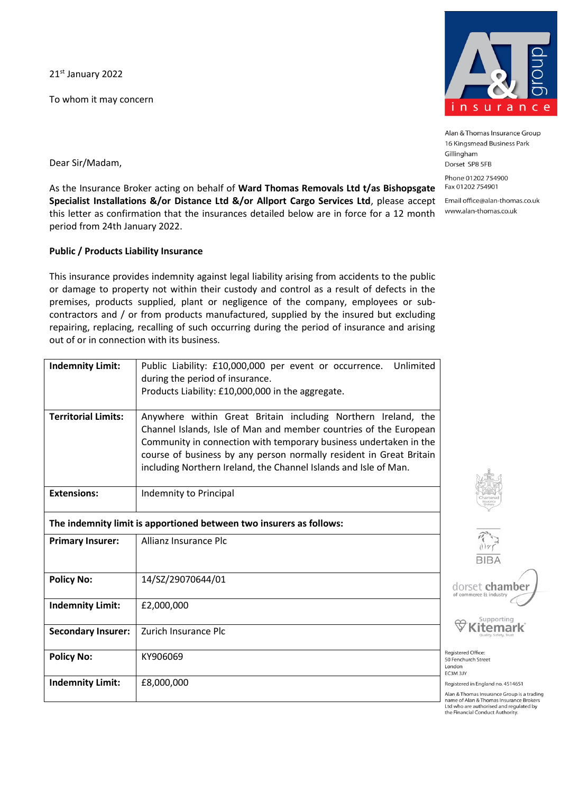21st January 2022

To whom it may concern



Alan & Thomas Insurance Group 16 Kingsmead Business Park Gillingham Dorset SP8 5FB

Phone 01202 754900 Fax 01202 754901

Email office@alan-thomas.co.uk www.alan-thomas.co.uk

Dear Sir/Madam,

As the Insurance Broker acting on behalf of **Ward Thomas Removals Ltd t/as Bishopsgate Specialist Installations &/or Distance Ltd &/or Allport Cargo Services Ltd**, please accept this letter as confirmation that the insurances detailed below are in force for a 12 month period from 24th January 2022.

## **Public / Products Liability Insurance**

This insurance provides indemnity against legal liability arising from accidents to the public or damage to property not within their custody and control as a result of defects in the premises, products supplied, plant or negligence of the company, employees or subcontractors and / or from products manufactured, supplied by the insured but excluding repairing, replacing, recalling of such occurring during the period of insurance and arising out of or in connection with its business.

| <b>Indemnity Limit:</b>    | Unlimited<br>Public Liability: £10,000,000 per event or occurrence.<br>during the period of insurance.<br>Products Liability: £10,000,000 in the aggregate.                                                                                                                                                                                        |                                                             |
|----------------------------|----------------------------------------------------------------------------------------------------------------------------------------------------------------------------------------------------------------------------------------------------------------------------------------------------------------------------------------------------|-------------------------------------------------------------|
| <b>Territorial Limits:</b> | Anywhere within Great Britain including Northern Ireland, the<br>Channel Islands, Isle of Man and member countries of the European<br>Community in connection with temporary business undertaken in the<br>course of business by any person normally resident in Great Britain<br>including Northern Ireland, the Channel Islands and Isle of Man. |                                                             |
| <b>Extensions:</b>         | Indemnity to Principal                                                                                                                                                                                                                                                                                                                             |                                                             |
|                            | The indemnity limit is apportioned between two insurers as follows:                                                                                                                                                                                                                                                                                |                                                             |
| <b>Primary Insurer:</b>    | Allianz Insurance Plc                                                                                                                                                                                                                                                                                                                              | $\tilde{z}$<br>$\frac{1}{B}$                                |
| <b>Policy No:</b>          | 14/SZ/29070644/01                                                                                                                                                                                                                                                                                                                                  | dorset<br>of commerce                                       |
| <b>Indemnity Limit:</b>    | £2,000,000                                                                                                                                                                                                                                                                                                                                         |                                                             |
| <b>Secondary Insurer:</b>  | Zurich Insurance Plc                                                                                                                                                                                                                                                                                                                               |                                                             |
| <b>Policy No:</b>          | KY906069                                                                                                                                                                                                                                                                                                                                           | Registered Office<br>50 Fenchurch Str<br>London<br>EC3M 3JY |
| <b>Indemnity Limit:</b>    | £8,000,000                                                                                                                                                                                                                                                                                                                                         | Registered in Eng<br>Alan & Thomas Ir<br>name of Alan & T   |

chamber

upporting temark

eet

gland no. 4514651

surance Group is a trading homas Insurance Brokers Ltd who are authorised and regulated by the Financial Conduct Authority.